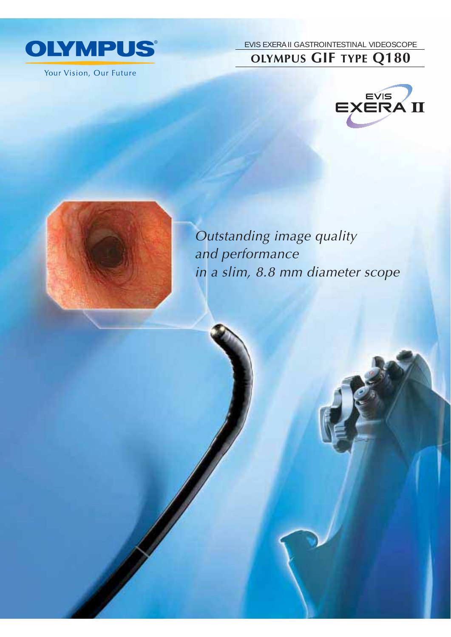

Your Vision, Our Future

EVIS EXERA II GASTROINTESTINAL VIDEOSCOPE **OLYMPUS GIF TYPE Q180**





Outstanding image quality and performance in a slim, 8.8 mm diameter scope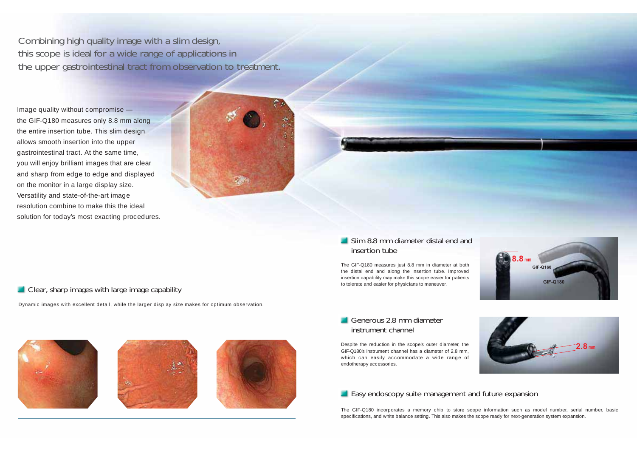Combining high quality image with a slim design, this scope is ideal for a wide range of applications in the upper gastrointestinal tract from observation to treatment.

Image quality without compromise the GIF-Q180 measures only 8.8 mm along the entire insertion tube. This slim design allows smooth insertion into the upper gastrointestinal tract. At the same time, you will enjoy brilliant images that are clear and sharp from edge to edge and displayed on the monitor in a large display size. Versatility and state-of-the-art image resolution combine to make this the ideal solution for today's most exacting procedures.



## Clear, sharp images with large image capability

Dynamic images with excellent detail, while the larger display size makes for optimum observation.







### **Slim 8.8 mm diameter distal end and** insertion tube

The GIF-Q180 measures just 8.8 mm in diameter at both the distal end and along the insertion tube. Improved insertion capability may make this scope easier for patients to tolerate and easier for physicians to maneuver.



#### Generous 2.8 mm diameter instrument channel

Despite the reduction in the scope's outer diameter, the GIF-Q180's instrument channel has a diameter of 2.8 mm, which can easily accommodate a wide range of endotherapy accessories.



#### **Easy endoscopy suite management and future expansion**

The GIF-Q180 incorporates a memory chip to store scope information such as model number, serial number, basic specifications, and white balance setting. This also makes the scope ready for next-generation system expansion.